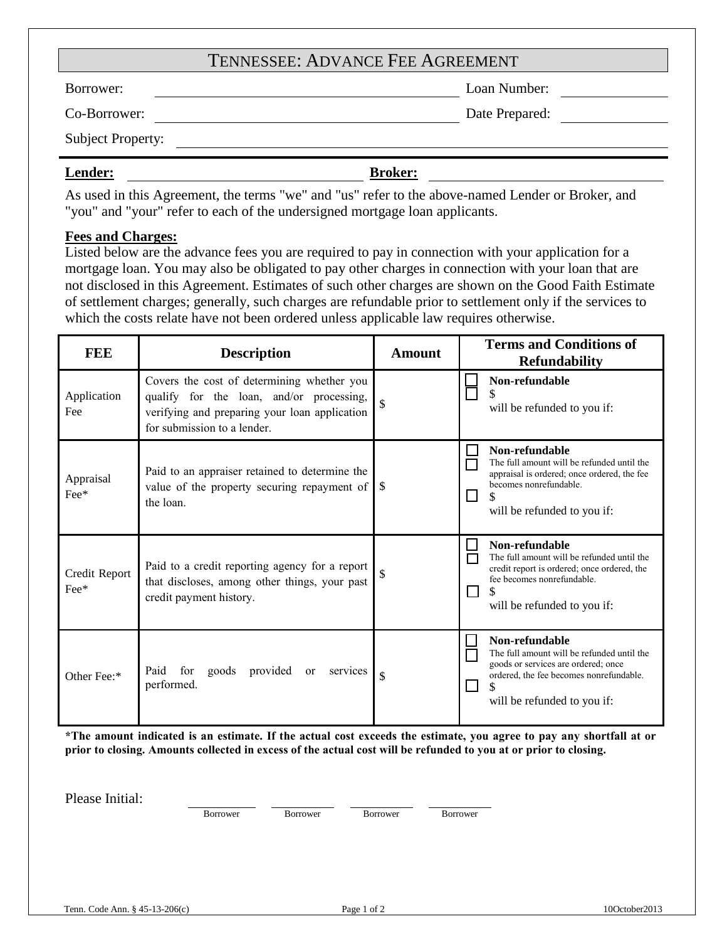# TENNESSEE: ADVANCE FEE AGREEMENT

Borrower: Loan Number:

Co-Borrower: Date Prepared:

Subject Property:

**Lender: Broker:**

As used in this Agreement, the terms "we" and "us" refer to the above-named Lender or Broker, and "you" and "your" refer to each of the undersigned mortgage loan applicants.

# **Fees and Charges:**

Listed below are the advance fees you are required to pay in connection with your application for a mortgage loan. You may also be obligated to pay other charges in connection with your loan that are not disclosed in this Agreement. Estimates of such other charges are shown on the Good Faith Estimate of settlement charges; generally, such charges are refundable prior to settlement only if the services to which the costs relate have not been ordered unless applicable law requires otherwise.

| <b>FEE</b>                     | <b>Description</b>                                                                                                                                                     | <b>Amount</b> | <b>Terms and Conditions of</b><br><b>Refundability</b>                                                                                                                        |
|--------------------------------|------------------------------------------------------------------------------------------------------------------------------------------------------------------------|---------------|-------------------------------------------------------------------------------------------------------------------------------------------------------------------------------|
| Application<br>Fee             | Covers the cost of determining whether you<br>qualify for the loan, and/or processing,<br>verifying and preparing your loan application<br>for submission to a lender. |               | Non-refundable<br>will be refunded to you if:                                                                                                                                 |
| Appraisal<br>$\text{Fe}^*$     | Paid to an appraiser retained to determine the<br>value of the property securing repayment of<br>the loan.                                                             | -S            | Non-refundable<br>The full amount will be refunded until the<br>appraisal is ordered; once ordered, the fee<br>becomes nonrefundable.<br>will be refunded to you if:          |
| Credit Report<br>$\text{Fe}^*$ | Paid to a credit reporting agency for a report<br>that discloses, among other things, your past<br>credit payment history.                                             |               | Non-refundable<br>The full amount will be refunded until the<br>credit report is ordered; once ordered, the<br>fee becomes nonrefundable.<br>will be refunded to you if:      |
| Other Fee:*                    | provided or<br>Paid<br>for<br>goods<br>services<br>performed.                                                                                                          | \$            | Non-refundable<br>The full amount will be refunded until the<br>goods or services are ordered; once<br>ordered, the fee becomes nonrefundable.<br>will be refunded to you if: |

**\*The amount indicated is an estimate. If the actual cost exceeds the estimate, you agree to pay any shortfall at or prior to closing. Amounts collected in excess of the actual cost will be refunded to you at or prior to closing.**

Please Initial:

Borrower Borrower Borrower Borrower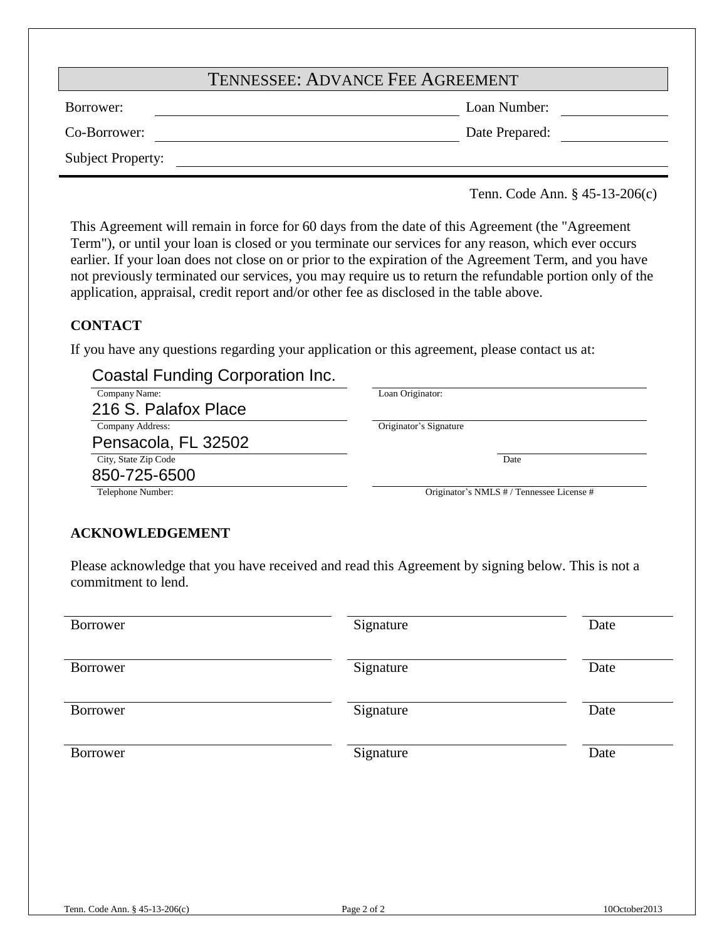| <b>TENNESSEE: ADVANCE FEE AGREEMENT</b> |  |
|-----------------------------------------|--|
|-----------------------------------------|--|

Borrower: Loan Number:

Co-Borrower: Date Prepared:

Subject Property:

Tenn. Code Ann. § 45-13-206(c)

This Agreement will remain in force for 60 days from the date of this Agreement (the "Agreement Term"), or until your loan is closed or you terminate our services for any reason, which ever occurs earlier. If your loan does not close on or prior to the expiration of the Agreement Term, and you have not previously terminated our services, you may require us to return the refundable portion only of the application, appraisal, credit report and/or other fee as disclosed in the table above.

# **CONTACT**

If you have any questions regarding your application or this agreement, please contact us at:

# Coastal Funding Corporation Inc.

| Company Name:        | Loan Originator:                          |
|----------------------|-------------------------------------------|
| 216 S. Palafox Place |                                           |
| Company Address:     | Originator's Signature                    |
| Pensacola, FL 32502  |                                           |
| City, State Zip Code | Date                                      |
| 850-725-6500         |                                           |
| Telephone Number:    | Originator's NMLS # / Tennessee License # |

# **ACKNOWLEDGEMENT**

Please acknowledge that you have received and read this Agreement by signing below. This is not a commitment to lend.

| Borrower | Signature | Date |
|----------|-----------|------|
| Borrower | Signature | Date |
| Borrower | Signature | Date |
| Borrower | Signature | Date |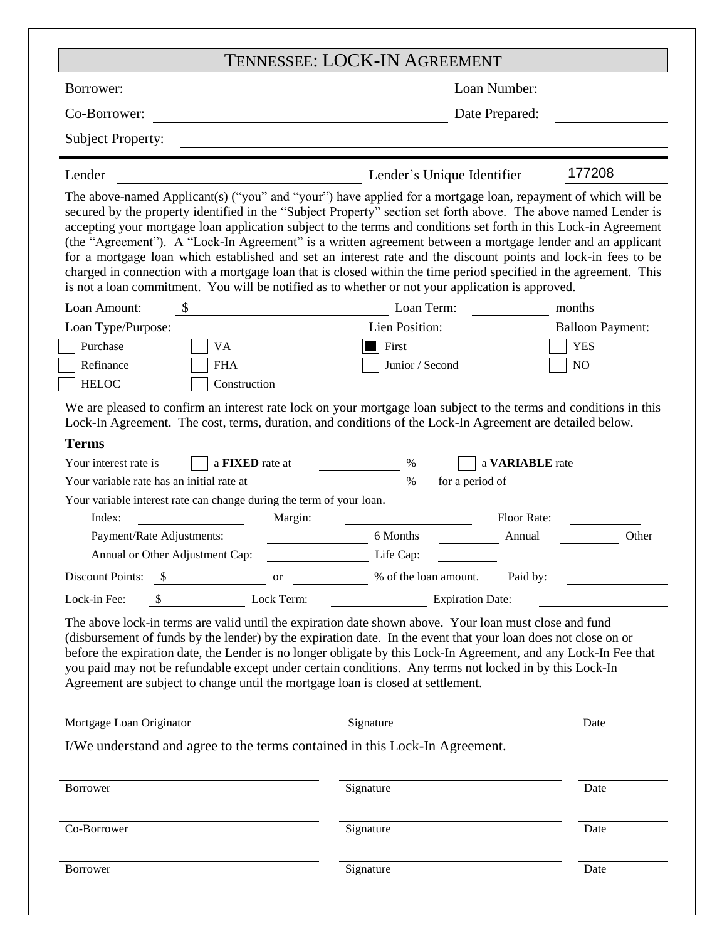|                                                                                                                                                                                                                                                                                                                                                                                                                                                                                                                                                                                                                                                                                                                                                                                                                                              | <b>TENNESSEE: LOCK-IN AGREEMENT</b>                         |                         |  |
|----------------------------------------------------------------------------------------------------------------------------------------------------------------------------------------------------------------------------------------------------------------------------------------------------------------------------------------------------------------------------------------------------------------------------------------------------------------------------------------------------------------------------------------------------------------------------------------------------------------------------------------------------------------------------------------------------------------------------------------------------------------------------------------------------------------------------------------------|-------------------------------------------------------------|-------------------------|--|
| Borrower:                                                                                                                                                                                                                                                                                                                                                                                                                                                                                                                                                                                                                                                                                                                                                                                                                                    | Loan Number:                                                |                         |  |
| Co-Borrower:                                                                                                                                                                                                                                                                                                                                                                                                                                                                                                                                                                                                                                                                                                                                                                                                                                 | Date Prepared:                                              |                         |  |
| <b>Subject Property:</b>                                                                                                                                                                                                                                                                                                                                                                                                                                                                                                                                                                                                                                                                                                                                                                                                                     |                                                             |                         |  |
| Lender                                                                                                                                                                                                                                                                                                                                                                                                                                                                                                                                                                                                                                                                                                                                                                                                                                       | Lender's Unique Identifier                                  | 177208                  |  |
| The above-named Applicant(s) ("you" and "your") have applied for a mortgage loan, repayment of which will be<br>secured by the property identified in the "Subject Property" section set forth above. The above named Lender is<br>accepting your mortgage loan application subject to the terms and conditions set forth in this Lock-in Agreement<br>(the "Agreement"). A "Lock-In Agreement" is a written agreement between a mortgage lender and an applicant<br>for a mortgage loan which established and set an interest rate and the discount points and lock-in fees to be<br>charged in connection with a mortgage loan that is closed within the time period specified in the agreement. This<br>is not a loan commitment. You will be notified as to whether or not your application is approved.<br>$\mathbb{S}$<br>Loan Amount: | Loan Term:                                                  | months                  |  |
| Loan Type/Purpose:                                                                                                                                                                                                                                                                                                                                                                                                                                                                                                                                                                                                                                                                                                                                                                                                                           | Lien Position:                                              | <b>Balloon Payment:</b> |  |
| Purchase<br><b>VA</b>                                                                                                                                                                                                                                                                                                                                                                                                                                                                                                                                                                                                                                                                                                                                                                                                                        | First                                                       | <b>YES</b>              |  |
| Refinance<br><b>FHA</b>                                                                                                                                                                                                                                                                                                                                                                                                                                                                                                                                                                                                                                                                                                                                                                                                                      | Junior / Second                                             | N <sub>O</sub>          |  |
| <b>HELOC</b><br>Construction                                                                                                                                                                                                                                                                                                                                                                                                                                                                                                                                                                                                                                                                                                                                                                                                                 |                                                             |                         |  |
| Lock-In Agreement. The cost, terms, duration, and conditions of the Lock-In Agreement are detailed below.<br><b>Terms</b><br>Your interest rate is<br>a <b>FIXED</b> rate at<br>Your variable rate has an initial rate at<br>Your variable interest rate can change during the term of your loan.                                                                                                                                                                                                                                                                                                                                                                                                                                                                                                                                            | $\%$<br>a VARIABLE rate<br>$\frac{0}{0}$<br>for a period of |                         |  |
| Index:<br>Margin:                                                                                                                                                                                                                                                                                                                                                                                                                                                                                                                                                                                                                                                                                                                                                                                                                            | Floor Rate:                                                 |                         |  |
| Payment/Rate Adjustments:                                                                                                                                                                                                                                                                                                                                                                                                                                                                                                                                                                                                                                                                                                                                                                                                                    | 6 Months<br>Annual                                          | Other                   |  |
| Annual or Other Adjustment Cap:                                                                                                                                                                                                                                                                                                                                                                                                                                                                                                                                                                                                                                                                                                                                                                                                              | Life Cap:                                                   |                         |  |
| $\frac{\$}{\$}$ or $\frac{\$}{\$}$ or $\frac{\$}{\$}$ of the loan amount.<br>Discount Points:                                                                                                                                                                                                                                                                                                                                                                                                                                                                                                                                                                                                                                                                                                                                                | Paid by:                                                    |                         |  |
| \$ Lock Term:<br>Lock-in Fee:                                                                                                                                                                                                                                                                                                                                                                                                                                                                                                                                                                                                                                                                                                                                                                                                                | <b>Expiration Date:</b>                                     |                         |  |
| The above lock-in terms are valid until the expiration date shown above. Your loan must close and fund<br>(disbursement of funds by the lender) by the expiration date. In the event that your loan does not close on or<br>before the expiration date, the Lender is no longer obligate by this Lock-In Agreement, and any Lock-In Fee that<br>you paid may not be refundable except under certain conditions. Any terms not locked in by this Lock-In<br>Agreement are subject to change until the mortgage loan is closed at settlement.                                                                                                                                                                                                                                                                                                  |                                                             |                         |  |
| Mortgage Loan Originator                                                                                                                                                                                                                                                                                                                                                                                                                                                                                                                                                                                                                                                                                                                                                                                                                     | Signature                                                   | Date                    |  |
| I/We understand and agree to the terms contained in this Lock-In Agreement.                                                                                                                                                                                                                                                                                                                                                                                                                                                                                                                                                                                                                                                                                                                                                                  |                                                             |                         |  |
| Borrower                                                                                                                                                                                                                                                                                                                                                                                                                                                                                                                                                                                                                                                                                                                                                                                                                                     | Signature                                                   | Date                    |  |
| Co-Borrower                                                                                                                                                                                                                                                                                                                                                                                                                                                                                                                                                                                                                                                                                                                                                                                                                                  | Signature                                                   | Date                    |  |
| Borrower                                                                                                                                                                                                                                                                                                                                                                                                                                                                                                                                                                                                                                                                                                                                                                                                                                     | Signature                                                   | Date                    |  |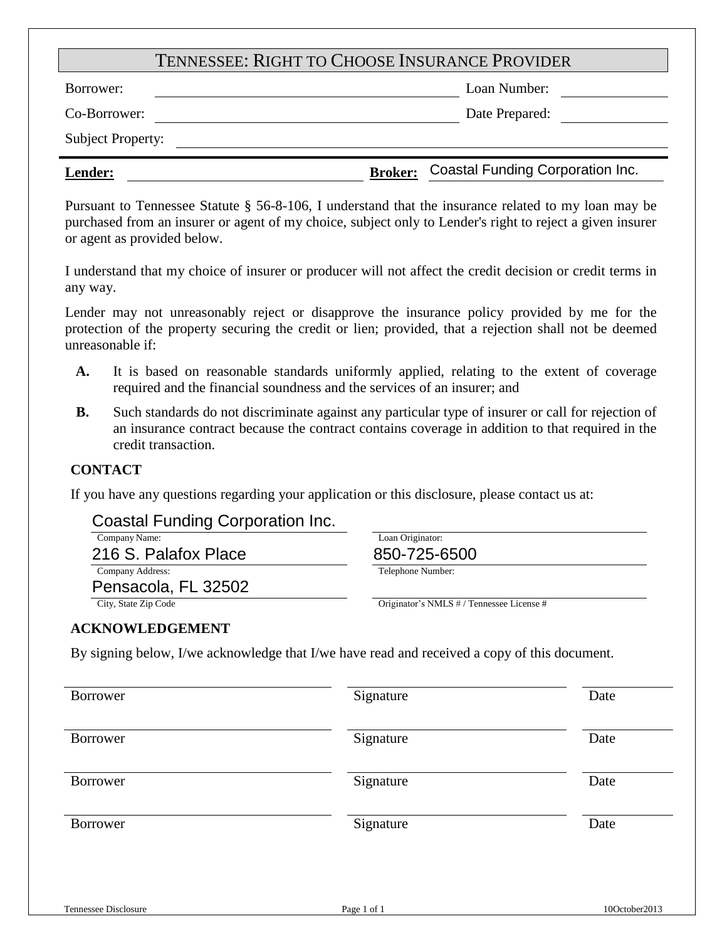# TENNESSEE: RIGHT TO CHOOSE INSURANCE PROVIDER

Borrower: Loan Number: Loan Number:

Co-Borrower: Date Prepared:

Subject Property:

# **Lender: Broker:** Coastal Funding Corporation Inc.

Pursuant to Tennessee Statute § 56-8-106, I understand that the insurance related to my loan may be purchased from an insurer or agent of my choice, subject only to Lender's right to reject a given insurer or agent as provided below.

I understand that my choice of insurer or producer will not affect the credit decision or credit terms in any way.

Lender may not unreasonably reject or disapprove the insurance policy provided by me for the protection of the property securing the credit or lien; provided, that a rejection shall not be deemed unreasonable if:

- **A.** It is based on reasonable standards uniformly applied, relating to the extent of coverage required and the financial soundness and the services of an insurer; and
- **B.** Such standards do not discriminate against any particular type of insurer or call for rejection of an insurance contract because the contract contains coverage in addition to that required in the credit transaction.

# **CONTACT**

If you have any questions regarding your application or this disclosure, please contact us at:

# Coastal Funding Corporation Inc.

| Company Name:        |  |
|----------------------|--|
| 216 S. Palafox Place |  |
| Company Address:     |  |
| Desararia EL OOFOO   |  |

Pensacola, FL 32502

Loan Originator:

Telephone Number:

850-725-6500

# City, State Zip Code Originator's NMLS # / Tennessee License #

### **ACKNOWLEDGEMENT**

By signing below, I/we acknowledge that I/we have read and received a copy of this document.

| Borrower             | Signature   | Date          |
|----------------------|-------------|---------------|
| Borrower             | Signature   | Date          |
| Borrower             | Signature   | Date          |
| Borrower             | Signature   | Date          |
|                      |             |               |
| Tennessee Disclosure | Page 1 of 1 | 10October2013 |